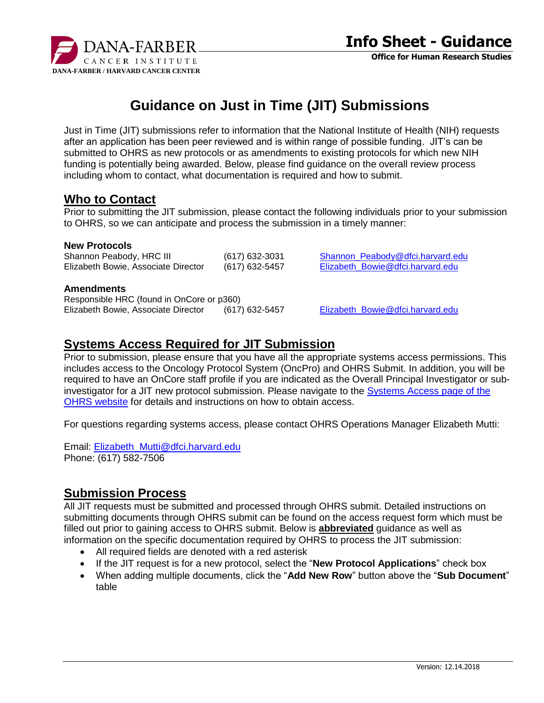

# **Guidance on Just in Time (JIT) Submissions**

Just in Time (JIT) submissions refer to information that the National Institute of Health (NIH) requests after an application has been peer reviewed and is within range of possible funding. JIT's can be submitted to OHRS as new protocols or as amendments to existing protocols for which new NIH funding is potentially being awarded. Below, please find guidance on the overall review process including whom to contact, what documentation is required and how to submit.

### **Who to Contact**

Prior to submitting the JIT submission, please contact the following individuals prior to your submission to OHRS, so we can anticipate and process the submission in a timely manner:

#### **New Protocols**

Elizabeth Bowie, Associate Director (617) 632-5457 [Elizabeth\\_Bowie@dfci.harvard.edu](mailto:Elizabeth_Bowie@dfci.harvard.edu)

Shannon Peabody, HRC III (617) 632-3031 Shannon Peabody@dfci.harvard.edu

#### **Amendments**

Responsible HRC (found in OnCore or p360) Elizabeth Bowie, Associate Director (617) 632-5457 [Elizabeth\\_Bowie@dfci.harvard.edu](mailto:Elizabeth_Bowie@dfci.harvard.edu)

### **Systems Access Required for JIT Submission**

Prior to submission, please ensure that you have all the appropriate systems access permissions. This includes access to the Oncology Protocol System (OncPro) and OHRS Submit. In addition, you will be required to have an OnCore staff profile if you are indicated as the Overall Principal Investigator or subinvestigator for a JIT new protocol submission. Please navigate to the [Systems Access page of the](http://www.dfhcc.harvard.edu/research/clinical-research-support/office-for-human-research-studies/ohrs-system-access/)  [OHRS website](http://www.dfhcc.harvard.edu/research/clinical-research-support/office-for-human-research-studies/ohrs-system-access/) for details and instructions on how to obtain access.

For questions regarding systems access, please contact OHRS Operations Manager Elizabeth Mutti:

Email: [Elizabeth\\_Mutti@dfci.harvard.edu](mailto:Elizabeth_Mutti@dfci.harvard.edu) Phone: (617) 582-7506

## **Submission Process**

All JIT requests must be submitted and processed through OHRS submit. Detailed instructions on submitting documents through OHRS submit can be found on the access request form which must be filled out prior to gaining access to OHRS submit. Below is **abbreviated** guidance as well as information on the specific documentation required by OHRS to process the JIT submission:

- All required fields are denoted with a red asterisk
- If the JIT request is for a new protocol, select the "**New Protocol Applications**" check box
- When adding multiple documents, click the "**Add New Row**" button above the "**Sub Document**" table